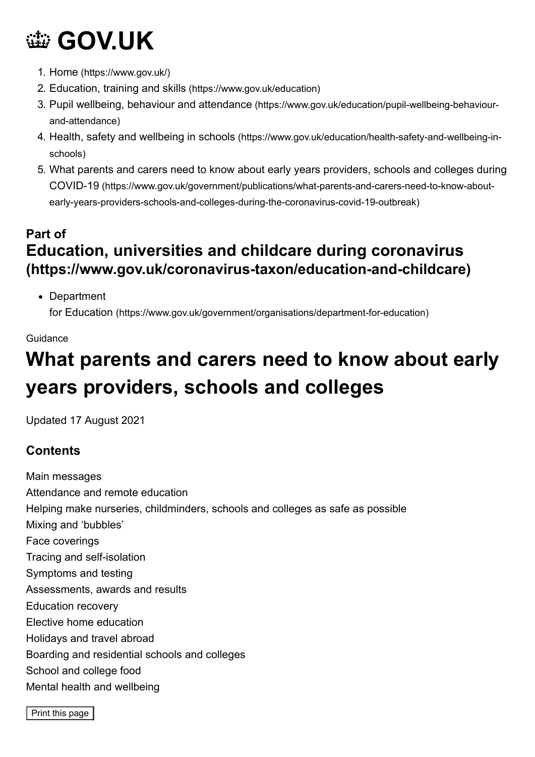# **[GOV.UK](https://www.gov.uk/)**

- 1. Home [\(https://www.gov.uk/\)](https://www.gov.uk/)
- 2. [Education, training and skills](https://www.gov.uk/education) (https://www.gov.uk/education)
- 3. Pupil wellbeing, behaviour and attendance [\(https://www.gov.uk/education/pupil-wellbeing-behaviour](https://www.gov.uk/education/pupil-wellbeing-behaviour-and-attendance)and-attendance)
- 4. Health, safety and wellbeing in schools [\(https://www.gov.uk/education/health-safety-and-wellbeing-in](https://www.gov.uk/education/health-safety-and-wellbeing-in-schools)schools)
- 5. [What parents and carers need to know about early years providers, schools and colleges during](https://www.gov.uk/government/publications/what-parents-and-carers-need-to-know-about-early-years-providers-schools-and-colleges-during-the-coronavirus-covid-19-outbreak) COVID-19 (https://www.gov.uk/government/publications/what-parents-and-carers-need-to-know-aboutearly-years-providers-schools-and-colleges-during-the-coronavirus-covid-19-outbreak)

## **Part of [Education, universities and childcare during coronavirus](https://www.gov.uk/coronavirus-taxon/education-and-childcare) (https://www.gov.uk/coronavirus-taxon/education-and-childcare)**

• Department

for Education [\(https://www.gov.uk/government/organisations/department-for-education\)](https://www.gov.uk/government/organisations/department-for-education)

#### Guidance

## **What parents and carers need to know about early years providers, schools and colleges**

Updated 17 August 2021

## **Contents**

Main messages Attendance and remote education Helping make nurseries, childminders, schools and colleges as safe as possible Mixing and 'bubbles' Face coverings Tracing and self-isolation Symptoms and testing Assessments, awards and results Education recovery Elective home education Holidays and travel abroad Boarding and residential schools and colleges School and college food Mental health and wellbeing

Print this page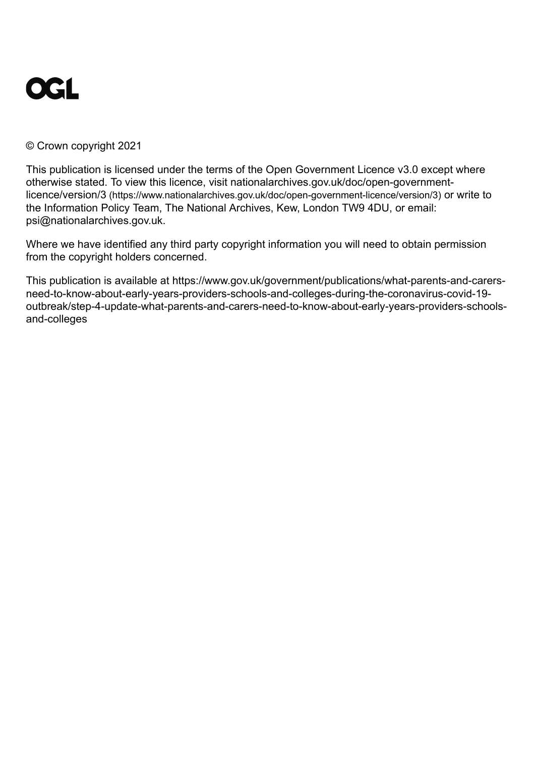

© Crown copyright 2021

This publication is licensed under the terms of the Open Government Licence v3.0 except where [otherwise stated. To view this licence, visit nationalarchives.gov.uk/doc/open-government](https://www.nationalarchives.gov.uk/doc/open-government-licence/version/3)licence/version/3 (https://www.nationalarchives.gov.uk/doc/open-government-licence/version/3) or write to the Information Policy Team, The National Archives, Kew, London TW9 4DU, or email: [psi@nationalarchives.gov.uk](mailto:psi@nationalarchives.gov.uk).

Where we have identified any third party copyright information you will need to obtain permission from the copyright holders concerned.

This publication is available at https://www.gov.uk/government/publications/what-parents-and-carersneed-to-know-about-early-years-providers-schools-and-colleges-during-the-coronavirus-covid-19 outbreak/step-4-update-what-parents-and-carers-need-to-know-about-early-years-providers-schoolsand-colleges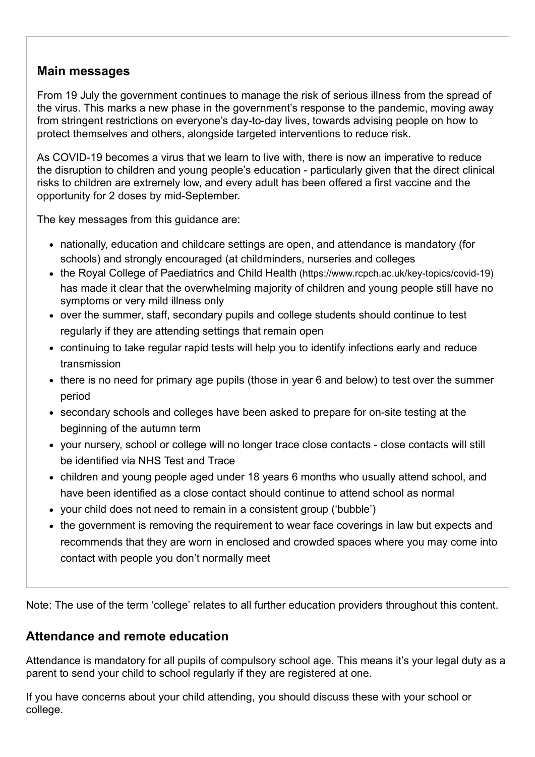#### **Main messages**

From 19 July the government continues to manage the risk of serious illness from the spread of the virus. This marks a new phase in the government's response to the pandemic, moving away from stringent restrictions on everyone's day-to-day lives, towards advising people on how to protect themselves and others, alongside targeted interventions to reduce risk.

As COVID-19 becomes a virus that we learn to live with, there is now an imperative to reduce the disruption to children and young people's education - particularly given that the direct clinical risks to children are extremely low, and every adult has been offered a first vaccine and the opportunity for 2 doses by mid-September.

The key messages from this guidance are:

- nationally, education and childcare settings are open, and attendance is mandatory (for schools) and strongly encouraged (at childminders, nurseries and colleges
- the [Royal College of Paediatrics and Child Health](https://www.rcpch.ac.uk/key-topics/covid-19) (https://www.rcpch.ac.uk/key-topics/covid-19) has made it clear that the overwhelming majority of children and young people still have no symptoms or very mild illness only
- over the summer, staff, secondary pupils and college students should continue to test regularly if they are attending settings that remain open
- continuing to take regular rapid tests will help you to identify infections early and reduce transmission
- there is no need for primary age pupils (those in year 6 and below) to test over the summer period
- secondary schools and colleges have been asked to prepare for on-site testing at the beginning of the autumn term
- your nursery, school or college will no longer trace close contacts close contacts will still be identified via NHS Test and Trace
- children and young people aged under 18 years 6 months who usually attend school, and have been identified as a close contact should continue to attend school as normal
- vour child does not need to remain in a consistent group ('bubble')
- the government is removing the requirement to wear face coverings in law but expects and recommends that they are worn in enclosed and crowded spaces where you may come into contact with people you don't normally meet

Note: The use of the term 'college' relates to all further education providers throughout this content.

## **Attendance and remote education**

Attendance is mandatory for all pupils of compulsory school age. This means it's your legal duty as a parent to send your child to school regularly if they are registered at one.

If you have concerns about your child attending, you should discuss these with your school or college.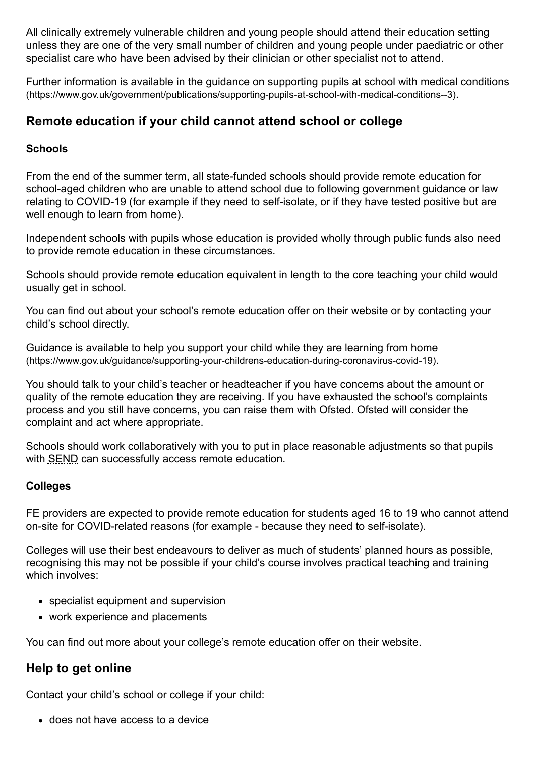All clinically extremely vulnerable children and young people should attend their education setting unless they are one of the very small number of children and young people under paediatric or other specialist care who have been advised by their clinician or other specialist not to attend.

[Further information is available in the guidance on supporting pupils at school with medical conditions](https://www.gov.uk/government/publications/supporting-pupils-at-school-with-medical-conditions--3) (https://www.gov.uk/government/publications/supporting-pupils-at-school-with-medical-conditions--3).

## **Remote education if your child cannot attend school or college**

#### **Schools**

From the end of the summer term, all state-funded schools should provide remote education for school-aged children who are unable to attend school due to following government guidance or law relating to COVID-19 (for example if they need to self-isolate, or if they have tested positive but are well enough to learn from home).

Independent schools with pupils whose education is provided wholly through public funds also need to provide remote education in these circumstances.

Schools should provide remote education equivalent in length to the core teaching your child would usually get in school.

You can find out about your school's remote education offer on their website or by contacting your child's school directly.

[Guidance is available to help you support your child while they are learning from home](https://www.gov.uk/guidance/supporting-your-childrens-education-during-coronavirus-covid-19) (https://www.gov.uk/guidance/supporting-your-childrens-education-during-coronavirus-covid-19).

You should talk to your child's teacher or headteacher if you have concerns about the amount or quality of the remote education they are receiving. If you have exhausted the school's complaints process and you still have concerns, you can raise them with Ofsted. Ofsted will consider the complaint and act where appropriate.

Schools should work collaboratively with you to put in place reasonable adjustments so that pupils with **SEND** can successfully access remote education.

#### **Colleges**

FE providers are expected to provide remote education for students aged 16 to 19 who cannot attend on-site for COVID-related reasons (for example - because they need to self-isolate).

Colleges will use their best endeavours to deliver as much of students' planned hours as possible, recognising this may not be possible if your child's course involves practical teaching and training which involves:

- specialist equipment and supervision
- work experience and placements

You can find out more about your college's remote education offer on their website.

## **Help to get online**

Contact your child's school or college if your child:

does not have access to a device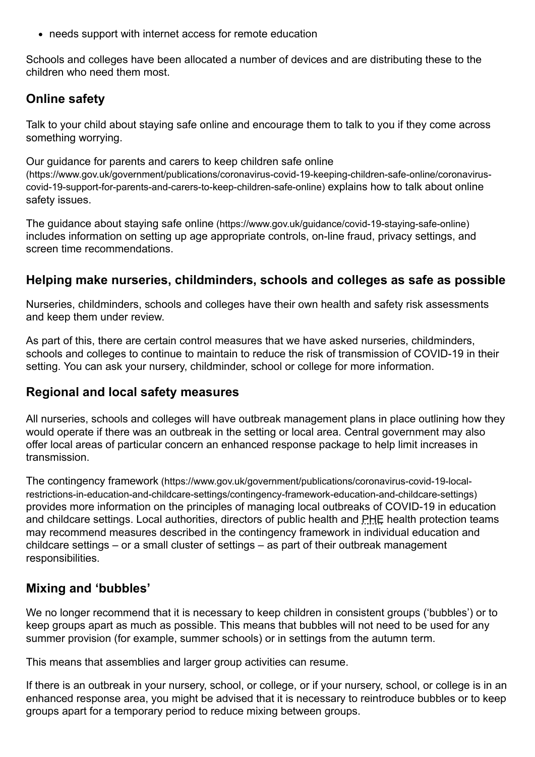needs support with internet access for remote education

Schools and colleges have been allocated a number of devices and are distributing these to the children who need them most.

#### **Online safety**

Talk to your child about staying safe online and encourage them to talk to you if they come across something worrying.

Our guidance for parents and carers to keep children safe online [\(https://www.gov.uk/government/publications/coronavirus-covid-19-keeping-children-safe-online/coronavirus](https://www.gov.uk/government/publications/coronavirus-covid-19-keeping-children-safe-online/coronavirus-covid-19-support-for-parents-and-carers-to-keep-children-safe-online)covid-19-support-for-parents-and-carers-to-keep-children-safe-online) explains how to talk about online safety issues.

The guidance about staying safe online [\(https://www.gov.uk/guidance/covid-19-staying-safe-online\)](https://www.gov.uk/guidance/covid-19-staying-safe-online) includes information on setting up age appropriate controls, on-line fraud, privacy settings, and screen time recommendations.

#### **Helping make nurseries, childminders, schools and colleges as safe as possible**

Nurseries, childminders, schools and colleges have their own health and safety risk assessments and keep them under review.

As part of this, there are certain control measures that we have asked nurseries, childminders, schools and colleges to continue to maintain to reduce the risk of transmission of COVID-19 in their setting. You can ask your nursery, childminder, school or college for more information.

#### **Regional and local safety measures**

All nurseries, schools and colleges will have outbreak management plans in place outlining how they would operate if there was an outbreak in the setting or local area. Central government may also offer local areas of particular concern an enhanced response package to help limit increases in transmission.

The contingency framework (https://www.gov.uk/government/publications/coronavirus-covid-19-local[restrictions-in-education-and-childcare-settings/contingency-framework-education-and-childcare-settings\)](https://www.gov.uk/government/publications/coronavirus-covid-19-local-restrictions-in-education-and-childcare-settings/contingency-framework-education-and-childcare-settings) provides more information on the principles of managing local outbreaks of COVID-19 in education and childcare settings. Local authorities, directors of public health and PHE health protection teams may recommend measures described in the contingency framework in individual education and childcare settings – or a small cluster of settings – as part of their outbreak management responsibilities.

#### **Mixing and 'bubbles'**

We no longer recommend that it is necessary to keep children in consistent groups ('bubbles') or to keep groups apart as much as possible. This means that bubbles will not need to be used for any summer provision (for example, summer schools) or in settings from the autumn term.

This means that assemblies and larger group activities can resume.

If there is an outbreak in your nursery, school, or college, or if your nursery, school, or college is in an enhanced response area, you might be advised that it is necessary to reintroduce bubbles or to keep groups apart for a temporary period to reduce mixing between groups.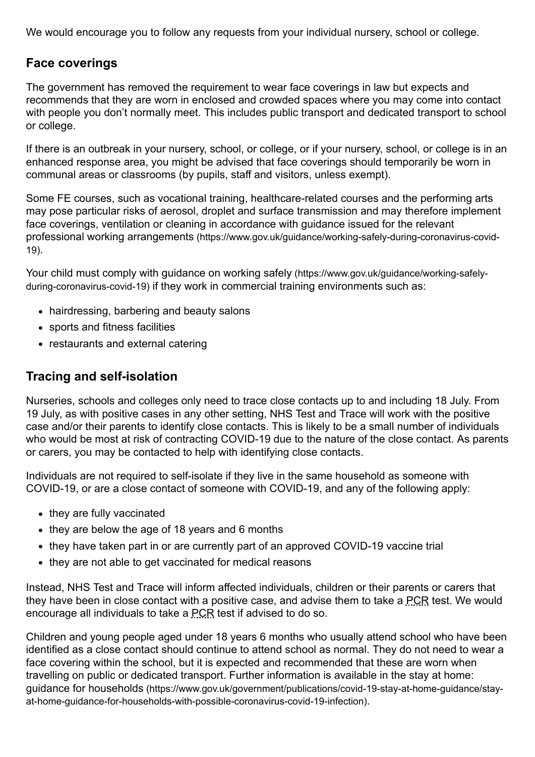We would encourage you to follow any requests from your individual nursery, school or college.

#### **Face coverings**

The government has removed the requirement to wear face coverings in law but expects and recommends that they are worn in enclosed and crowded spaces where you may come into contact with people you don't normally meet. This includes public transport and dedicated transport to school or college.

If there is an outbreak in your nursery, school, or college, or if your nursery, school, or college is in an enhanced response area, you might be advised that face coverings should temporarily be worn in communal areas or classrooms (by pupils, staff and visitors, unless exempt).

Some FE courses, such as vocational training, healthcare-related courses and the performing arts may pose particular risks of aerosol, droplet and surface transmission and may therefore implement face coverings, ventilation or cleaning in accordance with guidance issued for the relevant professional working arrangements [\(https://www.gov.uk/guidance/working-safely-during-coronavirus-covid-](https://www.gov.uk/guidance/working-safely-during-coronavirus-covid-19)19).

Your child must comply with quidance on working safely (https://www.gov.uk/guidance/working-safelyduring-coronavirus-covid-19) [if they work in commercial training environments such as:](https://www.gov.uk/guidance/working-safely-during-coronavirus-covid-19)

- hairdressing, barbering and beauty salons
- sports and fitness facilities
- restaurants and external catering

## **Tracing and self-isolation**

Nurseries, schools and colleges only need to trace close contacts up to and including 18 July. From 19 July, as with positive cases in any other setting, NHS Test and Trace will work with the positive case and/or their parents to identify close contacts. This is likely to be a small number of individuals who would be most at risk of contracting COVID-19 due to the nature of the close contact. As parents or carers, you may be contacted to help with identifying close contacts.

Individuals are not required to self-isolate if they live in the same household as someone with COVID-19, or are a close contact of someone with COVID-19, and any of the following apply:

- they are fully vaccinated
- they are below the age of 18 years and 6 months
- they have taken part in or are currently part of an approved COVID-19 vaccine trial
- they are not able to get vaccinated for medical reasons

Instead, NHS Test and Trace will inform affected individuals, children or their parents or carers that they have been in close contact with a positive case, and advise them to take a PCR test. We would encourage all individuals to take a PCR test if advised to do so.

Children and young people aged under 18 years 6 months who usually attend school who have been identified as a close contact should continue to attend school as normal. They do not need to wear a face covering within the school, but it is expected and recommended that these are worn when [travelling on public or dedicated transport. Further information is available in the stay at home:](https://www.gov.uk/government/publications/covid-19-stay-at-home-guidance/stay-at-home-guidance-for-households-with-possible-coronavirus-covid-19-infection) guidance for households (https://www.gov.uk/government/publications/covid-19-stay-at-home-guidance/stayat-home-guidance-for-households-with-possible-coronavirus-covid-19-infection).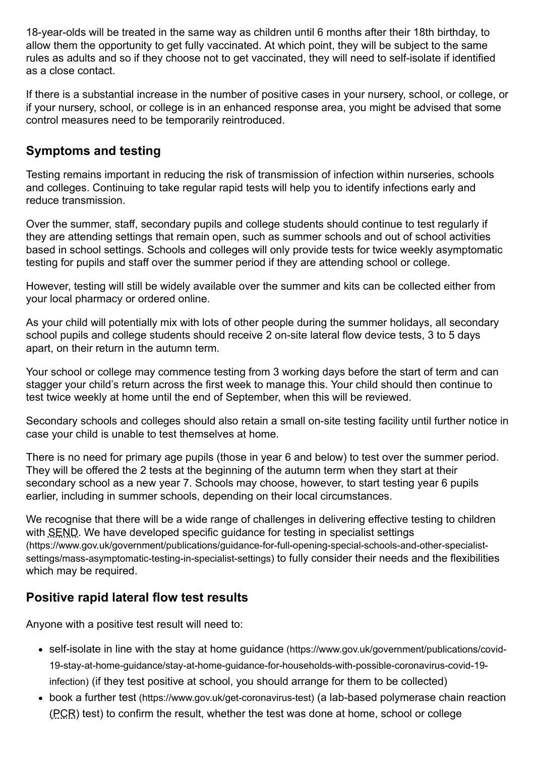18-year-olds will be treated in the same way as children until 6 months after their 18th birthday, to allow them the opportunity to get fully vaccinated. At which point, they will be subject to the same rules as adults and so if they choose not to get vaccinated, they will need to self-isolate if identified as a close contact.

If there is a substantial increase in the number of positive cases in your nursery, school, or college, or if your nursery, school, or college is in an enhanced response area, you might be advised that some control measures need to be temporarily reintroduced.

## **Symptoms and testing**

Testing remains important in reducing the risk of transmission of infection within nurseries, schools and colleges. Continuing to take regular rapid tests will help you to identify infections early and reduce transmission.

Over the summer, staff, secondary pupils and college students should continue to test regularly if they are attending settings that remain open, such as summer schools and out of school activities based in school settings. Schools and colleges will only provide tests for twice weekly asymptomatic testing for pupils and staff over the summer period if they are attending school or college.

However, testing will still be widely available over the summer and kits can be collected either from your local pharmacy or ordered online.

As your child will potentially mix with lots of other people during the summer holidays, all secondary school pupils and college students should receive 2 on-site lateral flow device tests, 3 to 5 days apart, on their return in the autumn term.

Your school or college may commence testing from 3 working days before the start of term and can stagger your child's return across the first week to manage this. Your child should then continue to test twice weekly at home until the end of September, when this will be reviewed.

Secondary schools and colleges should also retain a small on-site testing facility until further notice in case your child is unable to test themselves at home.

There is no need for primary age pupils (those in year 6 and below) to test over the summer period. They will be offered the 2 tests at the beginning of the autumn term when they start at their secondary school as a new year 7. Schools may choose, however, to start testing year 6 pupils earlier, including in summer schools, depending on their local circumstances.

We recognise that there will be a wide range of challenges in delivering effective testing to children with **SEND**. We have developed specific guidance for testing in specialist settings [\(https://www.gov.uk/government/publications/guidance-for-full-opening-special-schools-and-other-specialist](https://www.gov.uk/government/publications/guidance-for-full-opening-special-schools-and-other-specialist-settings/mass-asymptomatic-testing-in-specialist-settings)settings/mass-asymptomatic-testing-in-specialist-settings) to fully consider their needs and the flexibilities which may be required.

## **Positive rapid lateral flow test results**

Anyone with a positive test result will need to:

- self-isolate in line with the stay at home guidance (https://www.gov.uk/government/publications/covid-[19-stay-at-home-guidance/stay-at-home-guidance-for-households-with-possible-coronavirus-covid-19](https://www.gov.uk/government/publications/covid-19-stay-at-home-guidance/stay-at-home-guidance-for-households-with-possible-coronavirus-covid-19-infection) infection) (if they test positive at school, you should arrange for them to be collected)
- book a further test [\(https://www.gov.uk/get-coronavirus-test\)](https://www.gov.uk/get-coronavirus-test) (a lab-based polymerase chain reaction (PCR) test) to confirm the result, whether the test was done at home, school or college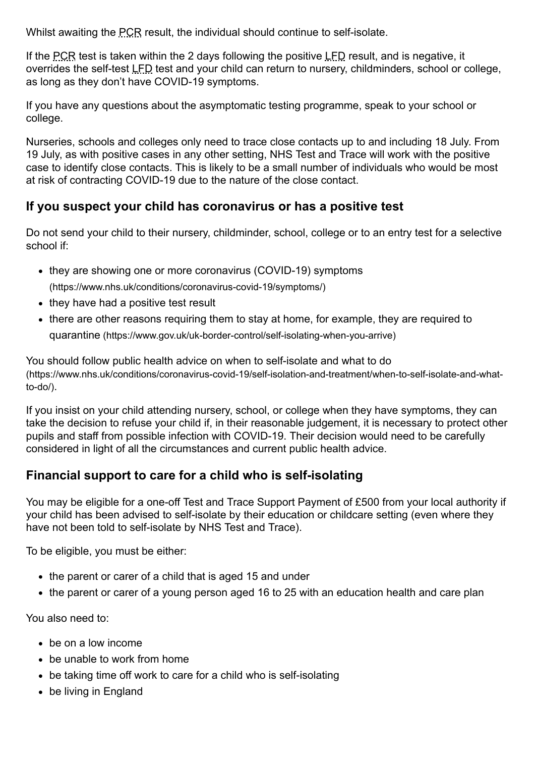Whilst awaiting the PCR result, the individual should continue to self-isolate.

If the PCR test is taken within the 2 days following the positive LFD result, and is negative, it overrides the self-test LFD test and your child can return to nursery, childminders, school or college, as long as they don't have COVID-19 symptoms.

If you have any questions about the asymptomatic testing programme, speak to your school or college.

Nurseries, schools and colleges only need to trace close contacts up to and including 18 July. From 19 July, as with positive cases in any other setting, NHS Test and Trace will work with the positive case to identify close contacts. This is likely to be a small number of individuals who would be most at risk of contracting COVID-19 due to the nature of the close contact.

#### **If you suspect your child has coronavirus or has a positive test**

Do not send your child to their nursery, childminder, school, college or to an entry test for a selective school if:

- [they are showing one or more coronavirus \(COVID-19\) symptoms](https://www.nhs.uk/conditions/coronavirus-covid-19/symptoms/) (https://www.nhs.uk/conditions/coronavirus-covid-19/symptoms/)
- they have had a positive test result
- [there are other reasons requiring them to stay at home, for example, they are required to](https://www.gov.uk/uk-border-control/self-isolating-when-you-arrive) quarantine (https://www.gov.uk/uk-border-control/self-isolating-when-you-arrive)

You should follow public health advice on when to self-isolate and what to do [\(https://www.nhs.uk/conditions/coronavirus-covid-19/self-isolation-and-treatment/when-to-self-isolate-and-what](https://www.nhs.uk/conditions/coronavirus-covid-19/self-isolation-and-treatment/when-to-self-isolate-and-what-to-do/)to-do/).

If you insist on your child attending nursery, school, or college when they have symptoms, they can take the decision to refuse your child if, in their reasonable judgement, it is necessary to protect other pupils and staff from possible infection with COVID-19. Their decision would need to be carefully considered in light of all the circumstances and current public health advice.

#### **Financial support to care for a child who is self-isolating**

You may be eligible for a one-off Test and Trace Support Payment of £500 from your local authority if your child has been advised to self-isolate by their education or childcare setting (even where they have not been told to self-isolate by NHS Test and Trace).

To be eligible, you must be either:

- the parent or carer of a child that is aged 15 and under
- the parent or carer of a young person aged 16 to 25 with an education health and care plan

You also need to:

- be on a low income
- be unable to work from home
- be taking time off work to care for a child who is self-isolating
- be living in England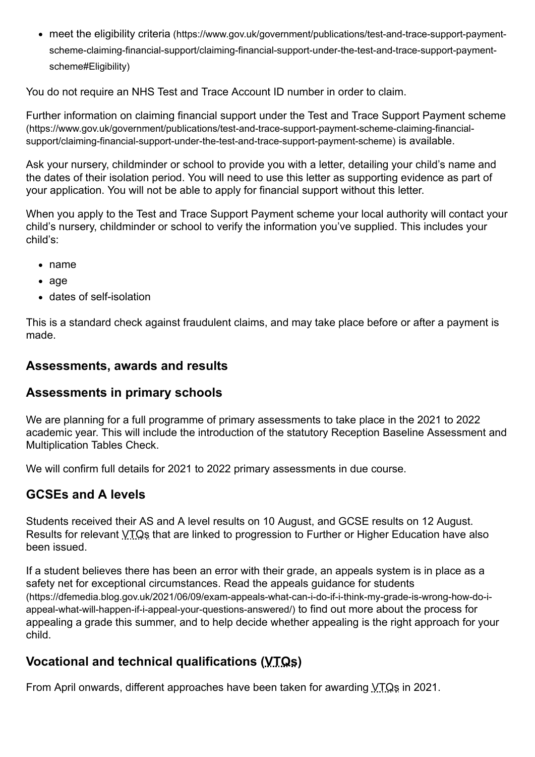meet the eligibility criteria (https://www.gov.uk/government/publications/test-and-trace-support-payment[scheme-claiming-financial-support/claiming-financial-support-under-the-test-and-trace-support-payment](https://www.gov.uk/government/publications/test-and-trace-support-payment-scheme-claiming-financial-support/claiming-financial-support-under-the-test-and-trace-support-payment-scheme#Eligibility)scheme#Eligibility)

You do not require an NHS Test and Trace Account ID number in order to claim.

[Further information on claiming financial support under the Test and Trace Support Payment scheme](https://www.gov.uk/government/publications/test-and-trace-support-payment-scheme-claiming-financial-support/claiming-financial-support-under-the-test-and-trace-support-payment-scheme) (https://www.gov.uk/government/publications/test-and-trace-support-payment-scheme-claiming-financialsupport/claiming-financial-support-under-the-test-and-trace-support-payment-scheme) is available.

Ask your nursery, childminder or school to provide you with a letter, detailing your child's name and the dates of their isolation period. You will need to use this letter as supporting evidence as part of your application. You will not be able to apply for financial support without this letter.

When you apply to the Test and Trace Support Payment scheme your local authority will contact your child's nursery, childminder or school to verify the information you've supplied. This includes your child's:

- name
- age
- dates of self-isolation

This is a standard check against fraudulent claims, and may take place before or after a payment is made.

#### **Assessments, awards and results**

#### **Assessments in primary schools**

We are planning for a full programme of primary assessments to take place in the 2021 to 2022 academic year. This will include the introduction of the statutory Reception Baseline Assessment and Multiplication Tables Check.

We will confirm full details for 2021 to 2022 primary assessments in due course.

#### **GCSEs and A levels**

Students received their AS and A level results on 10 August, and GCSE results on 12 August. Results for relevant VTQs that are linked to progression to Further or Higher Education have also been issued.

If a student believes there has been an error with their grade, an appeals system is in place as a safety net for exceptional circumstances. Read the appeals guidance for students [\(https://dfemedia.blog.gov.uk/2021/06/09/exam-appeals-what-can-i-do-if-i-think-my-grade-is-wrong-how-do-i](https://dfemedia.blog.gov.uk/2021/06/09/exam-appeals-what-can-i-do-if-i-think-my-grade-is-wrong-how-do-i-appeal-what-will-happen-if-i-appeal-your-questions-answered/)appeal-what-will-happen-if-i-appeal-your-questions-answered/) to find out more about the process for appealing a grade this summer, and to help decide whether appealing is the right approach for your child.

## **Vocational and technical qualifications (VTQs)**

From April onwards, different approaches have been taken for awarding VTQs in 2021.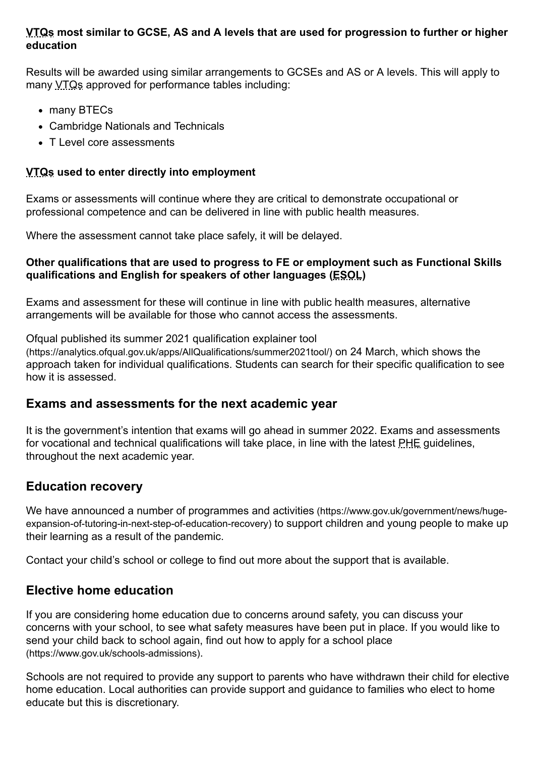#### **VTQs most similar to GCSE, AS and A levels that are used for progression to further or higher education**

Results will be awarded using similar arrangements to GCSEs and AS or A levels. This will apply to many VTQs approved for performance tables including:

- many BTECs
- Cambridge Nationals and Technicals
- T Level core assessments

#### **VTQs used to enter directly into employment**

Exams or assessments will continue where they are critical to demonstrate occupational or professional competence and can be delivered in line with public health measures.

Where the assessment cannot take place safely, it will be delayed.

#### **Other qualifications that are used to progress to FE or employment such as Functional Skills qualifications and English for speakers of other languages (ESOL)**

Exams and assessment for these will continue in line with public health measures, alternative arrangements will be available for those who cannot access the assessments.

[Ofqual published its summer 2021 qualification explainer tool](https://analytics.ofqual.gov.uk/apps/AllQualifications/summer2021tool/)

(https://analytics.ofqual.gov.uk/apps/AllQualifications/summer2021tool/) on 24 March, which shows the approach taken for individual qualifications. Students can search for their specific qualification to see how it is assessed.

#### **Exams and assessments for the next academic year**

It is the government's intention that exams will go ahead in summer 2022. Exams and assessments for vocational and technical qualifications will take place, in line with the latest PHE quidelines, throughout the next academic year.

#### **Education recovery**

[We have announced a number of programmes and activities](https://www.gov.uk/government/news/huge-expansion-of-tutoring-in-next-step-of-education-recovery) (https://www.gov.uk/government/news/hugeexpansion-of-tutoring-in-next-step-of-education-recovery) to support children and young people to make up their learning as a result of the pandemic.

Contact your child's school or college to find out more about the support that is available.

#### **Elective home education**

If you are considering home education due to concerns around safety, you can discuss your concerns with your school, to see what safety measures have been put in place. If you would like to [send your child back to school again, find out how to apply for a school place](https://www.gov.uk/schools-admissions) (https://www.gov.uk/schools-admissions).

Schools are not required to provide any support to parents who have withdrawn their child for elective home education. Local authorities can provide support and guidance to families who elect to home educate but this is discretionary.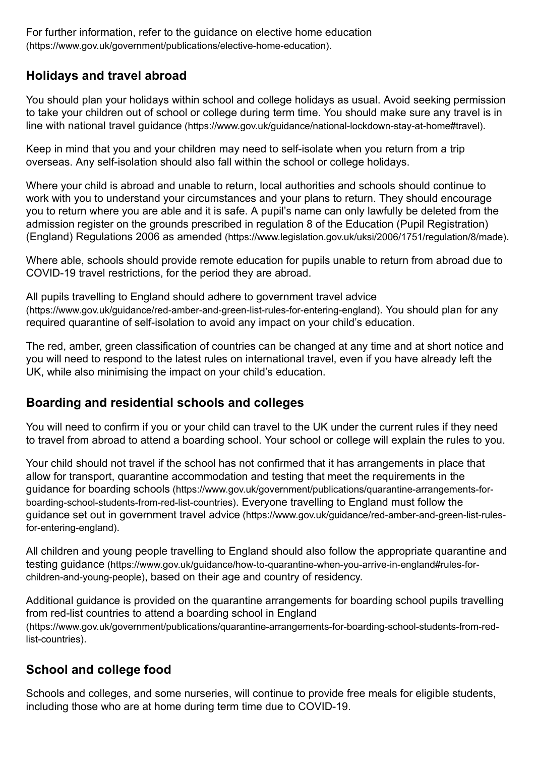[For further information, refer to the guidance on elective home education](https://www.gov.uk/government/publications/elective-home-education) (https://www.gov.uk/government/publications/elective-home-education).

## **Holidays and travel abroad**

You should plan your holidays within school and college holidays as usual. Avoid seeking permission to take your children out of school or college during term time. You should make sure any travel is in line with national travel guidance [\(https://www.gov.uk/guidance/national-lockdown-stay-at-home#travel\)](https://www.gov.uk/guidance/national-lockdown-stay-at-home#travel).

Keep in mind that you and your children may need to self-isolate when you return from a trip overseas. Any self-isolation should also fall within the school or college holidays.

Where your child is abroad and unable to return, local authorities and schools should continue to work with you to understand your circumstances and your plans to return. They should encourage you to return where you are able and it is safe. A pupil's name can only lawfully be deleted from the [admission register on the grounds prescribed in regulation 8 of the Education \(Pupil Registration\)](https://www.legislation.gov.uk/uksi/2006/1751/regulation/8/made) (England) Regulations 2006 as amended (https://www.legislation.gov.uk/uksi/2006/1751/regulation/8/made).

Where able, schools should provide remote education for pupils unable to return from abroad due to COVID-19 travel restrictions, for the period they are abroad.

[All pupils travelling to England should adhere to government travel advice](https://www.gov.uk/guidance/red-amber-and-green-list-rules-for-entering-england) (https://www.gov.uk/guidance/red-amber-and-green-list-rules-for-entering-england). You should plan for any required quarantine of self-isolation to avoid any impact on your child's education.

The red, amber, green classification of countries can be changed at any time and at short notice and you will need to respond to the latest rules on international travel, even if you have already left the UK, while also minimising the impact on your child's education.

## **Boarding and residential schools and colleges**

You will need to confirm if you or your child can travel to the UK under the current rules if they need to travel from abroad to attend a boarding school. Your school or college will explain the rules to you.

Your child should not travel if the school has not confirmed that it has arrangements in place that allow for transport, quarantine accommodation and testing that meet the requirements in the guidance for boarding schools [\(https://www.gov.uk/government/publications/quarantine-arrangements-for](https://www.gov.uk/government/publications/quarantine-arrangements-for-boarding-school-students-from-red-list-countries)boarding-school-students-from-red-list-countries). Everyone travelling to England must follow the guidance set out in government travel advice [\(https://www.gov.uk/guidance/red-amber-and-green-list-rules](https://www.gov.uk/guidance/red-amber-and-green-list-rules-for-entering-england)for-entering-england).

[All children and young people travelling to England should also follow the appropriate quarantine and](https://www.gov.uk/guidance/how-to-quarantine-when-you-arrive-in-england#rules-for-children-and-young-people) testing guidance (https://www.gov.uk/guidance/how-to-quarantine-when-you-arrive-in-england#rules-forchildren-and-young-people), based on their age and country of residency.

[Additional guidance is provided on the quarantine arrangements for boarding school pupils travelling](https://www.gov.uk/government/publications/quarantine-arrangements-for-boarding-school-students-from-red-list-countries) from red-list countries to attend a boarding school in England (https://www.gov.uk/government/publications/quarantine-arrangements-for-boarding-school-students-from-redlist-countries).

## **School and college food**

Schools and colleges, and some nurseries, will continue to provide free meals for eligible students, including those who are at home during term time due to COVID-19.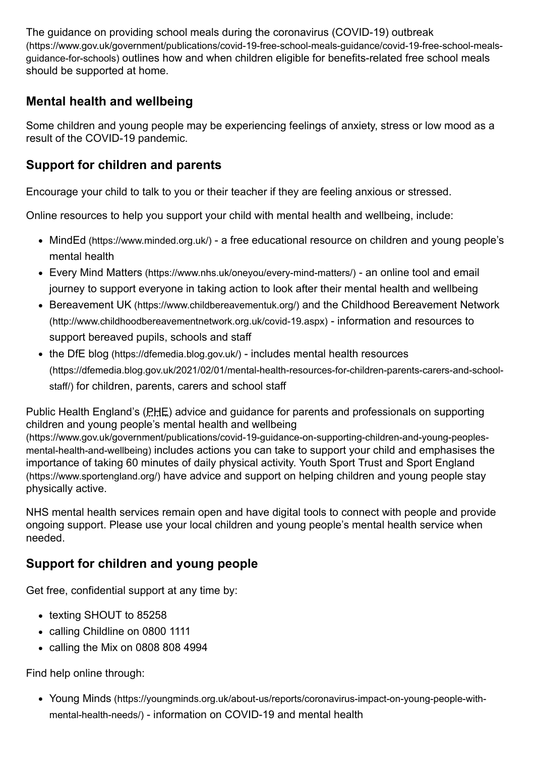The guidance on providing school meals during the coronavirus (COVID-19) outbreak [\(https://www.gov.uk/government/publications/covid-19-free-school-meals-guidance/covid-19-free-school-meals](https://www.gov.uk/government/publications/covid-19-free-school-meals-guidance/covid-19-free-school-meals-guidance-for-schools)guidance-for-schools) outlines how and when children eligible for benefits-related free school meals should be supported at home.

## **Mental health and wellbeing**

Some children and young people may be experiencing feelings of anxiety, stress or low mood as a result of the COVID-19 pandemic.

## **Support for children and parents**

Encourage your child to talk to you or their teacher if they are feeling anxious or stressed.

Online resources to help you support your child with mental health and wellbeing, include:

- MindEd [\(https://www.minded.org.uk/\)](https://www.minded.org.uk/) a free educational resource on children and young people's mental health
- Every Mind Matters [\(https://www.nhs.uk/oneyou/every-mind-matters/\)](https://www.nhs.uk/oneyou/every-mind-matters/) an online tool and email journey to support everyone in taking action to look after their mental health and wellbeing
- Bereavement UK [\(https://www.childbereavementuk.org/\)](https://www.childbereavementuk.org/) and the Childhood Bereavement Network [\(http://www.childhoodbereavementnetwork.org.uk/covid-19.aspx\)](http://www.childhoodbereavementnetwork.org.uk/covid-19.aspx) - information and resources to support bereaved pupils, schools and staff
- the DfE blog [\(https://dfemedia.blog.gov.uk/\)](https://dfemedia.blog.gov.uk/) includes mental health resources [\(https://dfemedia.blog.gov.uk/2021/02/01/mental-health-resources-for-children-parents-carers-and-school](https://dfemedia.blog.gov.uk/2021/02/01/mental-health-resources-for-children-parents-carers-and-school-staff/)staff/) for children, parents, carers and school staff

[Public Health England's \(PHE\) advice and guidance for parents and professionals on supporting](https://www.gov.uk/government/publications/covid-19-guidance-on-supporting-children-and-young-peoples-mental-health-and-wellbeing) children and young people's mental health and wellbeing (https://www.gov.uk/government/publications/covid-19-guidance-on-supporting-children-and-young-peoplesmental-health-and-wellbeing) includes actions you can take to support your child and emphasises the [importance of taking 60 minutes of daily physical activity. Youth Sport Trust and Sport England](https://www.sportengland.org/) (https://www.sportengland.org/) have advice and support on helping children and young people stay physically active.

NHS mental health services remain open and have digital tools to connect with people and provide ongoing support. Please use your local children and young people's mental health service when needed.

## **Support for children and young people**

Get free, confidential support at any time by:

- texting SHOUT to 85258
- calling Childline on 0800 1111
- calling the Mix on 0808 808 4994

Find help online through:

Young Minds [\(https://youngminds.org.uk/about-us/reports/coronavirus-impact-on-young-people-with](https://youngminds.org.uk/about-us/reports/coronavirus-impact-on-young-people-with-mental-health-needs/)mental-health-needs/) - information on COVID-19 and mental health